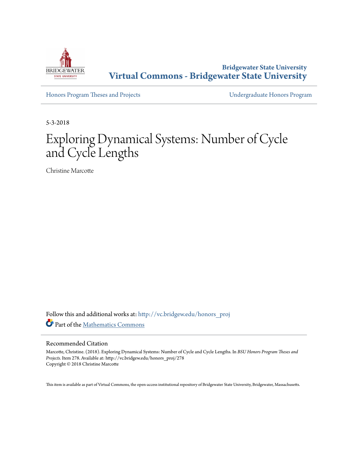

**Bridgewater State University [Virtual Commons - Bridgewater State University](http://vc.bridgew.edu?utm_source=vc.bridgew.edu%2Fhonors_proj%2F278&utm_medium=PDF&utm_campaign=PDFCoverPages)**

[Honors Program Theses and Projects](http://vc.bridgew.edu/honors_proj?utm_source=vc.bridgew.edu%2Fhonors_proj%2F278&utm_medium=PDF&utm_campaign=PDFCoverPages) [Undergraduate Honors Program](http://vc.bridgew.edu/honors?utm_source=vc.bridgew.edu%2Fhonors_proj%2F278&utm_medium=PDF&utm_campaign=PDFCoverPages)

5-3-2018

# Exploring Dynamical Systems: Number of Cycle and Cycle Lengths

Christine Marcotte

Follow this and additional works at: [http://vc.bridgew.edu/honors\\_proj](http://vc.bridgew.edu/honors_proj?utm_source=vc.bridgew.edu%2Fhonors_proj%2F278&utm_medium=PDF&utm_campaign=PDFCoverPages) Part of the [Mathematics Commons](http://network.bepress.com/hgg/discipline/174?utm_source=vc.bridgew.edu%2Fhonors_proj%2F278&utm_medium=PDF&utm_campaign=PDFCoverPages)

### Recommended Citation

Marcotte, Christine. (2018). Exploring Dynamical Systems: Number of Cycle and Cycle Lengths. In *BSU Honors Program Theses and Projects.* Item 278. Available at: http://vc.bridgew.edu/honors\_proj/278 Copyright © 2018 Christine Marcotte

This item is available as part of Virtual Commons, the open-access institutional repository of Bridgewater State University, Bridgewater, Massachusetts.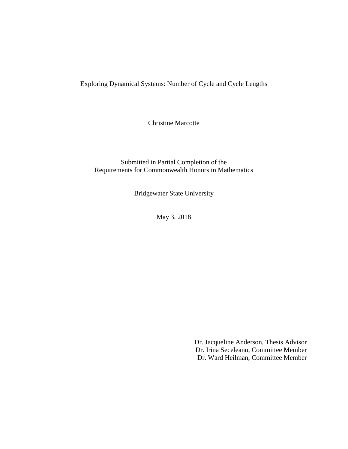Exploring Dynamical Systems: Number of Cycle and Cycle Lengths

Christine Marcotte

Submitted in Partial Completion of the Requirements for Commonwealth Honors in Mathematics

Bridgewater State University

May 3, 2018

Dr. Jacqueline Anderson, Thesis Advisor Dr. Irina Seceleanu, Committee Member Dr. Ward Heilman, Committee Member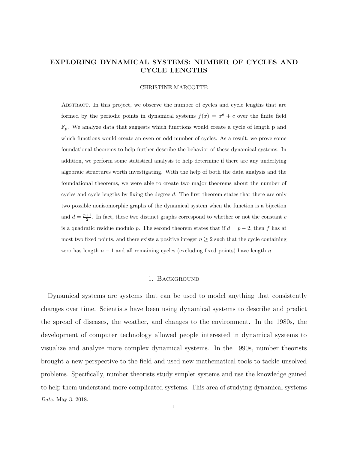# EXPLORING DYNAMICAL SYSTEMS: NUMBER OF CYCLES AND CYCLE LENGTHS

#### CHRISTINE MARCOTTE

Abstract. In this project, we observe the number of cycles and cycle lengths that are formed by the periodic points in dynamical systems  $f(x) = x<sup>d</sup> + c$  over the finite field  $\mathbb{F}_p$ . We analyze data that suggests which functions would create a cycle of length p and which functions would create an even or odd number of cycles. As a result, we prove some foundational theorems to help further describe the behavior of these dynamical systems. In addition, we perform some statistical analysis to help determine if there are any underlying algebraic structures worth investigating. With the help of both the data analysis and the foundational theorems, we were able to create two major theorems about the number of cycles and cycle lengths by fixing the degree d. The first theorem states that there are only two possible nonisomorphic graphs of the dynamical system when the function is a bijection and  $d = \frac{p+1}{2}$ . In fact, these two distinct graphs correspond to whether or not the constant c is a quadratic residue modulo p. The second theorem states that if  $d = p - 2$ , then f has at most two fixed points, and there exists a positive integer  $n \geq 2$  such that the cycle containing zero has length  $n-1$  and all remaining cycles (excluding fixed points) have length n.

### 1. Background

Dynamical systems are systems that can be used to model anything that consistently changes over time. Scientists have been using dynamical systems to describe and predict the spread of diseases, the weather, and changes to the environment. In the 1980s, the development of computer technology allowed people interested in dynamical systems to visualize and analyze more complex dynamical systems. In the 1990s, number theorists brought a new perspective to the field and used new mathematical tools to tackle unsolved problems. Specifically, number theorists study simpler systems and use the knowledge gained to help them understand more complicated systems. This area of studying dynamical systems Date: May 3, 2018.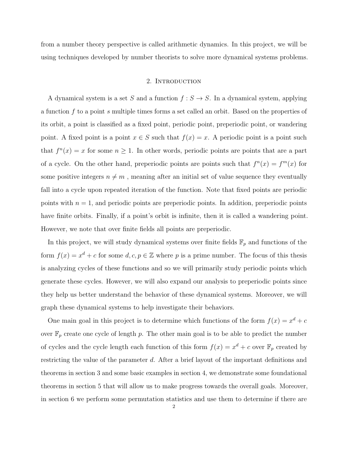from a number theory perspective is called arithmetic dynamics. In this project, we will be using techniques developed by number theorists to solve more dynamical systems problems.

## 2. INTRODUCTION

A dynamical system is a set S and a function  $f : S \to S$ . In a dynamical system, applying a function f to a point s multiple times forms a set called an orbit. Based on the properties of its orbit, a point is classified as a fixed point, periodic point, preperiodic point, or wandering point. A fixed point is a point  $x \in S$  such that  $f(x) = x$ . A periodic point is a point such that  $f^{n}(x) = x$  for some  $n \ge 1$ . In other words, periodic points are points that are a part of a cycle. On the other hand, preperiodic points are points such that  $f^{n}(x) = f^{m}(x)$  for some positive integers  $n \neq m$ , meaning after an initial set of value sequence they eventually fall into a cycle upon repeated iteration of the function. Note that fixed points are periodic points with  $n = 1$ , and periodic points are preperiodic points. In addition, preperiodic points have finite orbits. Finally, if a point's orbit is infinite, then it is called a wandering point. However, we note that over finite fields all points are preperiodic.

In this project, we will study dynamical systems over finite fields  $\mathbb{F}_p$  and functions of the form  $f(x) = x<sup>d</sup> + c$  for some  $d, c, p \in \mathbb{Z}$  where p is a prime number. The focus of this thesis is analyzing cycles of these functions and so we will primarily study periodic points which generate these cycles. However, we will also expand our analysis to preperiodic points since they help us better understand the behavior of these dynamical systems. Moreover, we will graph these dynamical systems to help investigate their behaviors.

One main goal in this project is to determine which functions of the form  $f(x) = x<sup>d</sup> + c$ over  $\mathbb{F}_p$  create one cycle of length p. The other main goal is to be able to predict the number of cycles and the cycle length each function of this form  $f(x) = x^d + c$  over  $\mathbb{F}_p$  created by restricting the value of the parameter d. After a brief layout of the important definitions and theorems in section 3 and some basic examples in section 4, we demonstrate some foundational theorems in section 5 that will allow us to make progress towards the overall goals. Moreover, in section 6 we perform some permutation statistics and use them to determine if there are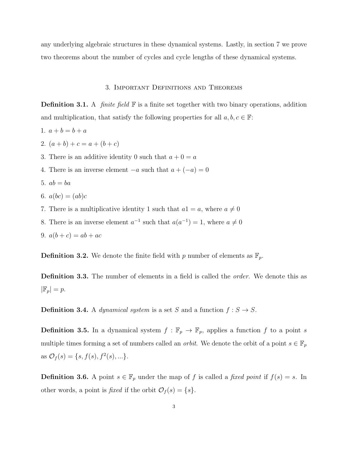any underlying algebraic structures in these dynamical systems. Lastly, in section 7 we prove two theorems about the number of cycles and cycle lengths of these dynamical systems.

### 3. Important Definitions and Theorems

**Definition 3.1.** A *finite field*  $\mathbb{F}$  is a finite set together with two binary operations, addition and multiplication, that satisfy the following properties for all  $a, b, c \in \mathbb{F}$ :

- 1.  $a + b = b + a$
- 2.  $(a + b) + c = a + (b + c)$
- 3. There is an additive identity 0 such that  $a + 0 = a$
- 4. There is an inverse element  $-a$  such that  $a + (-a) = 0$
- 5.  $ab = ba$
- 6.  $a(bc) = (ab)c$
- 7. There is a multiplicative identity 1 such that  $a1 = a$ , where  $a \neq 0$
- 8. There is an inverse element  $a^{-1}$  such that  $a(a^{-1}) = 1$ , where  $a \neq 0$
- 9.  $a(b + c) = ab + ac$

**Definition 3.2.** We denote the finite field with p number of elements as  $\mathbb{F}_p$ .

**Definition 3.3.** The number of elements in a field is called the *order*. We denote this as  $|\mathbb{F}_p| = p.$ 

**Definition 3.4.** A *dynamical system* is a set S and a function  $f : S \to S$ .

**Definition 3.5.** In a dynamical system  $f : \mathbb{F}_p \to \mathbb{F}_p$ , applies a function f to a point s multiple times forming a set of numbers called an *orbit*. We denote the orbit of a point  $s \in \mathbb{F}_p$ as  $\mathcal{O}_f(s) = \{s, f(s), f^2(s), ...\}.$ 

**Definition 3.6.** A point  $s \in \mathbb{F}_p$  under the map of f is called a fixed point if  $f(s) = s$ . In other words, a point is *fixed* if the orbit  $\mathcal{O}_f(s) = \{s\}.$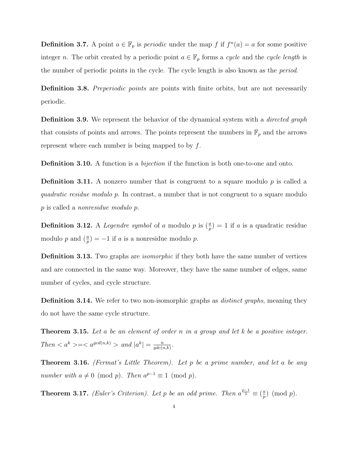**Definition 3.7.** A point  $a \in \mathbb{F}_p$  is *periodic* under the map f if  $f^n(a) = a$  for some positive integer n. The orbit created by a periodic point  $a \in \mathbb{F}_p$  forms a cycle and the cycle length is the number of periodic points in the cycle. The cycle length is also known as the period.

Definition 3.8. Preperiodic points are points with finite orbits, but are not necessarily periodic.

**Definition 3.9.** We represent the behavior of the dynamical system with a *directed graph* that consists of points and arrows. The points represent the numbers in  $\mathbb{F}_p$  and the arrows represent where each number is being mapped to by  $f$ .

**Definition 3.10.** A function is a *bijection* if the function is both one-to-one and onto.

**Definition 3.11.** A nonzero number that is congruent to a square modulo  $p$  is called a quadratic residue modulo p. In contrast, a number that is not congruent to a square modulo p is called a nonresidue modulo p.

**Definition 3.12.** A *Legendre symbol* of a modulo p is  $(\frac{a}{p}) = 1$  if a is a quadratic residue modulo p and  $\left(\frac{a}{p}\right) = -1$  if a is a nonresidue modulo p.

**Definition 3.13.** Two graphs are *isomorphic* if they both have the same number of vertices and are connected in the same way. Moreover, they have the same number of edges, same number of cycles, and cycle structure.

**Definition 3.14.** We refer to two non-isomorphic graphs as *distinct graphs*, meaning they do not have the same cycle structure.

**Theorem 3.15.** Let a be an element of order n in a group and let  $k$  be a positive integer.  $Then =$  and  $|a^k|=\frac{n}{\gcd(n,k)}$  $\frac{n}{gdc(n,k)}$ .

**Theorem 3.16.** (Fermat's Little Theorem). Let p be a prime number, and let a be any number with  $a \neq 0 \pmod{p}$ . Then  $a^{p-1} \equiv 1 \pmod{p}$ .

**Theorem 3.17.** (Euler's Criterion). Let p be an odd prime. Then  $a^{\frac{p-1}{2}} \equiv (\frac{a}{p})$  $\frac{a}{p}$ ) (mod  $p$ ).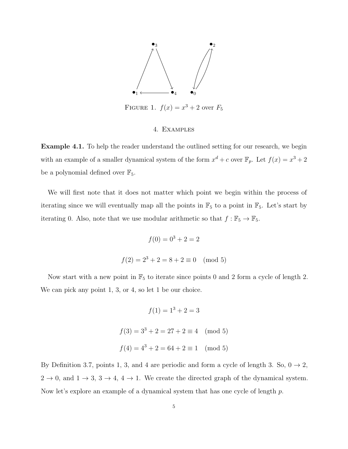

FIGURE 1.  $f(x) = x^3 + 2$  over  $F_5$ 

## 4. Examples

Example 4.1. To help the reader understand the outlined setting for our research, we begin with an example of a smaller dynamical system of the form  $x^d + c$  over  $\mathbb{F}_p$ . Let  $f(x) = x^3 + 2$ be a polynomial defined over  $\mathbb{F}_5$ .

We will first note that it does not matter which point we begin within the process of iterating since we will eventually map all the points in  $\mathbb{F}_5$  to a point in  $\mathbb{F}_5$ . Let's start by iterating 0. Also, note that we use modular arithmetic so that  $f : \mathbb{F}_5 \to \mathbb{F}_5$ .

$$
f(0) = 03 + 2 = 2
$$

$$
f(2) = 23 + 2 = 8 + 2 \equiv 0 \pmod{5}
$$

Now start with a new point in  $\mathbb{F}_5$  to iterate since points 0 and 2 form a cycle of length 2. We can pick any point 1, 3, or 4, so let 1 be our choice.

$$
f(1) = 13 + 2 = 3
$$
  

$$
f(3) = 33 + 2 = 27 + 2 \equiv 4 \pmod{5}
$$
  

$$
f(4) = 43 + 2 = 64 + 2 \equiv 1 \pmod{5}
$$

By Definition 3.7, points 1, 3, and 4 are periodic and form a cycle of length 3. So,  $0 \rightarrow 2$ ,  $2 \rightarrow 0$ , and  $1 \rightarrow 3$ ,  $3 \rightarrow 4$ ,  $4 \rightarrow 1$ . We create the directed graph of the dynamical system. Now let's explore an example of a dynamical system that has one cycle of length p.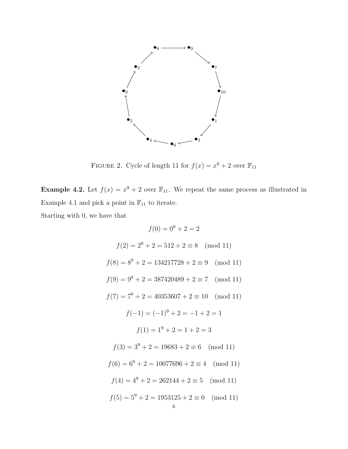

FIGURE 2. Cycle of length 11 for  $f(x) = x^9 + 2$  over  $\mathbb{F}_{11}$ 

**Example 4.2.** Let  $f(x) = x^9 + 2$  over  $\mathbb{F}_{11}$ . We repeat the same process as illustrated in Example 4.1 and pick a point in  $\mathbb{F}_{11}$  to iterate.

Starting with 0, we have that

$$
f(0) = 0^9 + 2 = 2
$$
  
\n
$$
f(2) = 2^9 + 2 = 512 + 2 \equiv 8 \pmod{11}
$$
  
\n
$$
f(8) = 8^9 + 2 = 134217728 + 2 \equiv 9 \pmod{11}
$$
  
\n
$$
f(9) = 9^9 + 2 = 387420489 + 2 \equiv 7 \pmod{11}
$$
  
\n
$$
f(7) = 7^9 + 2 = 40353607 + 2 \equiv 10 \pmod{11}
$$
  
\n
$$
f(-1) = (-1)^9 + 2 = -1 + 2 = 1
$$
  
\n
$$
f(1) = 1^9 + 2 = 1 + 2 = 3
$$
  
\n
$$
f(3) = 3^9 + 2 = 19683 + 2 \equiv 6 \pmod{11}
$$
  
\n
$$
f(6) = 6^9 + 2 = 10077696 + 2 \equiv 4 \pmod{11}
$$
  
\n
$$
f(4) = 4^9 + 2 = 262144 + 2 \equiv 5 \pmod{11}
$$
  
\n
$$
f(5) = 5^9 + 2 = 1953125 + 2 \equiv 0 \pmod{11}
$$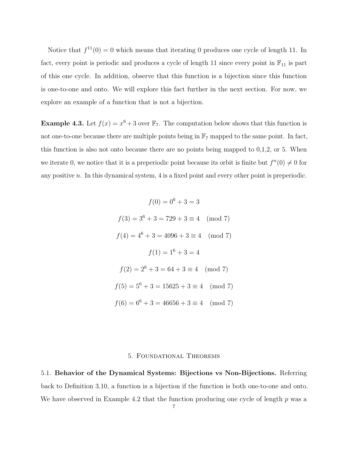Notice that  $f^{11}(0) = 0$  which means that iterating 0 produces one cycle of length 11. In fact, every point is periodic and produces a cycle of length 11 since every point in  $\mathbb{F}_{11}$  is part of this one cycle. In addition, observe that this function is a bijection since this function is one-to-one and onto. We will explore this fact further in the next section. For now, we explore an example of a function that is not a bijection.

**Example 4.3.** Let  $f(x) = x^6 + 3$  over  $\mathbb{F}_7$ . The computation below shows that this function is not one-to-one because there are multiple points being in  $\mathbb{F}_7$  mapped to the same point. In fact, this function is also not onto because there are no points being mapped to 0,1,2, or 5. When we iterate 0, we notice that it is a preperiodic point because its orbit is finite but  $f^{(n)}(0) \neq 0$  for any positive  $n$ . In this dynamical system, 4 is a fixed point and every other point is preperiodic.

$$
f(0) = 0^6 + 3 = 3
$$
  
\n
$$
f(3) = 3^6 + 3 = 729 + 3 \equiv 4 \pmod{7}
$$
  
\n
$$
f(4) = 4^6 + 3 = 4096 + 3 \equiv 4 \pmod{7}
$$
  
\n
$$
f(1) = 1^6 + 3 = 4
$$
  
\n
$$
f(2) = 2^6 + 3 = 64 + 3 \equiv 4 \pmod{7}
$$
  
\n
$$
f(5) = 5^6 + 3 = 15625 + 3 \equiv 4 \pmod{7}
$$
  
\n
$$
f(6) = 6^6 + 3 = 46656 + 3 \equiv 4 \pmod{7}
$$

#### 5. Foundational Theorems

5.1. Behavior of the Dynamical Systems: Bijections vs Non-Bijections. Referring back to Definition 3.10, a function is a bijection if the function is both one-to-one and onto. We have observed in Example 4.2 that the function producing one cycle of length  $p$  was a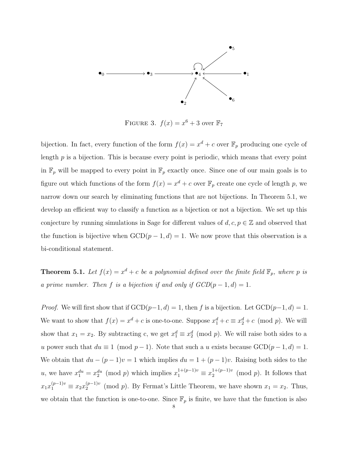

FIGURE 3.  $f(x) = x^6 + 3$  over  $\mathbb{F}_7$ 

bijection. In fact, every function of the form  $f(x) = x^d + c$  over  $\mathbb{F}_p$  producing one cycle of length p is a bijection. This is because every point is periodic, which means that every point in  $\mathbb{F}_p$  will be mapped to every point in  $\mathbb{F}_p$  exactly once. Since one of our main goals is to figure out which functions of the form  $f(x) = x^d + c$  over  $\mathbb{F}_p$  create one cycle of length p, we narrow down our search by eliminating functions that are not bijections. In Theorem 5.1, we develop an efficient way to classify a function as a bijection or not a bijection. We set up this conjecture by running simulations in Sage for different values of  $d, c, p \in \mathbb{Z}$  and observed that the function is bijective when  $GCD(p-1, d) = 1$ . We now prove that this observation is a bi-conditional statement.

**Theorem 5.1.** Let  $f(x) = x^d + c$  be a polynomial defined over the finite field  $\mathbb{F}_p$ , where p is a prime number. Then f is a bijection if and only if  $GCD(p-1, d) = 1$ .

*Proof.* We will first show that if  $GCD(p-1, d) = 1$ , then f is a bijection. Let  $GCD(p-1, d) = 1$ . We want to show that  $f(x) = x^d + c$  is one-to-one. Suppose  $x_1^d + c \equiv x_2^d + c \pmod{p}$ . We will show that  $x_1 = x_2$ . By subtracting c, we get  $x_1^d \equiv x_2^d \pmod{p}$ . We will raise both sides to a u power such that  $du \equiv 1 \pmod{p-1}$ . Note that such a u exists because  $GCD(p-1, d) = 1$ . We obtain that  $du - (p - 1)v = 1$  which implies  $du = 1 + (p - 1)v$ . Raising both sides to the u, we have  $x_1^{du} = x_2^{du} \pmod{p}$  which implies  $x_1^{1+(p-1)v} \equiv x_2^{1+(p-1)v}$  $_2^{1+(p-1)v}$  (mod p). It follows that  $x_1x_1^{(p-1)v} \equiv x_2x_2^{(p-1)v}$  $2^{(p-1)v}$  (mod p). By Fermat's Little Theorem, we have shown  $x_1 = x_2$ . Thus, we obtain that the function is one-to-one. Since  $\mathbb{F}_p$  is finite, we have that the function is also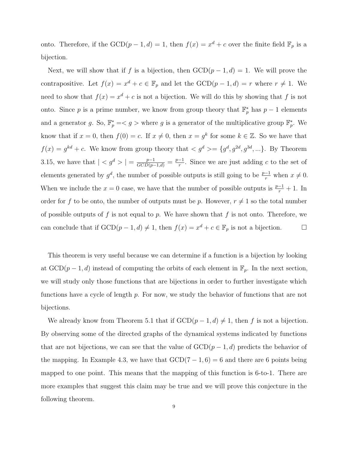onto. Therefore, if the  $GCD(p-1, d) = 1$ , then  $f(x) = x^d + c$  over the finite field  $\mathbb{F}_p$  is a bijection.

Next, we will show that if f is a bijection, then  $GCD(p-1, d) = 1$ . We will prove the contrapositive. Let  $f(x) = x^d + c \in \mathbb{F}_p$  and let the  $GCD(p-1, d) = r$  where  $r \neq 1$ . We need to show that  $f(x) = x^d + c$  is not a bijection. We will do this by showing that f is not onto. Since p is a prime number, we know from group theory that  $\mathbb{F}_p^*$  has  $p-1$  elements and a generator g. So,  $\mathbb{F}_p^* = \langle g \rangle$  where g is a generator of the multiplicative group  $\mathbb{F}_p^*$ . We know that if  $x = 0$ , then  $f(0) = c$ . If  $x \neq 0$ , then  $x = g^k$  for some  $k \in \mathbb{Z}$ . So we have that  $f(x) = g^{kd} + c$ . We know from group theory that  $\langle g^d \rangle = \{g^d, g^{2d}, g^{3d}, ...\}$ . By Theorem 3.15, we have that  $| < g^d > | = \frac{p-1}{GCD(p-1,d)} = \frac{p-1}{r}$  $\frac{-1}{r}$ . Since we are just adding c to the set of elements generated by  $g^d$ , the number of possible outputs is still going to be  $\frac{p-1}{r}$  when  $x \neq 0$ . When we include the  $x = 0$  case, we have that the number of possible outputs is  $\frac{p-1}{r} + 1$ . In order for f to be onto, the number of outputs must be p. However,  $r \neq 1$  so the total number of possible outputs of f is not equal to p. We have shown that f is not onto. Therefore, we can conclude that if  $GCD(p-1, d) \neq 1$ , then  $f(x) = x^d + c \in \mathbb{F}_p$  is not a bijection.

This theorem is very useful because we can determine if a function is a bijection by looking at  $GCD(p-1, d)$  instead of computing the orbits of each element in  $\mathbb{F}_p$ . In the next section, we will study only those functions that are bijections in order to further investigate which functions have a cycle of length p. For now, we study the behavior of functions that are not bijections.

We already know from Theorem 5.1 that if  $GCD(p-1, d) \neq 1$ , then f is not a bijection. By observing some of the directed graphs of the dynamical systems indicated by functions that are not bijections, we can see that the value of  $GCD(p-1, d)$  predicts the behavior of the mapping. In Example 4.3, we have that  $GCD(7-1, 6) = 6$  and there are 6 points being mapped to one point. This means that the mapping of this function is 6-to-1. There are more examples that suggest this claim may be true and we will prove this conjecture in the following theorem.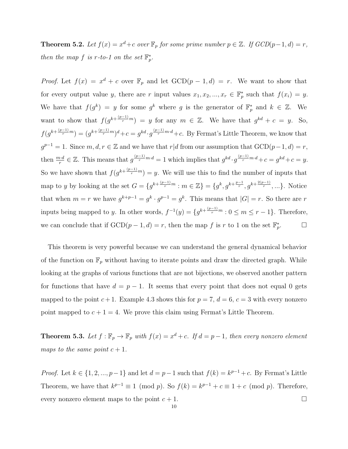**Theorem 5.2.** Let  $f(x) = x^d + c$  over  $\mathbb{F}_p$  for some prime number  $p \in \mathbb{Z}$ . If  $GCD(p-1, d) = r$ , then the map f is r-to-1 on the set  $\mathbb{F}_p^*$ .

*Proof.* Let  $f(x) = x^d + c$  over  $\mathbb{F}_p$  and let  $GCD(p-1, d) = r$ . We want to show that for every output value y, there are r input values  $x_1, x_2, ..., x_r \in \mathbb{F}_p^*$  such that  $f(x_i) = y$ . We have that  $f(g^k) = y$  for some  $g^k$  where g is the generator of  $\mathbb{F}_p^*$  and  $k \in \mathbb{Z}$ . We want to show that  $f(g^{k+\frac{(p-1)}{r}m}) = y$  for any  $m \in \mathbb{Z}$ . We have that  $g^{kd} + c = y$ . So,  $f(g^{k+\frac{(p-1)}{r}m})=(g^{k+\frac{(p-1)}{r}m})^d+c=g^{kd}\cdot g^{\frac{(p-1)}{r}m\cdot d}+c.$  By Fermat's Little Theorem, we know that  $g^{p-1} = 1$ . Since  $m, d, r \in \mathbb{Z}$  and we have that  $r|d$  from our assumption that  $GCD(p-1, d) = r$ , then  $\frac{m \cdot d}{r} \in \mathbb{Z}$ . This means that  $g^{\frac{(p-1)}{r}m \cdot d} = 1$  which implies that  $g^{kd} \cdot g^{\frac{(p-1)}{r}m \cdot d} + c = g^{kd} + c = y$ . So we have shown that  $f(g^{k+\frac{(p-1)}{r}m}) = y$ . We will use this to find the number of inputs that map to y by looking at the set  $G = \{g^{k + \frac{(p-1)}{r}m} : m \in \mathbb{Z}\} = \{g^k, g^{k + \frac{p-1}{r}}, g^{k + \frac{2(p-1)}{r}}, ...\}$ . Notice that when  $m = r$  we have  $g^{k+p-1} = g^k \cdot g^{p-1} = g^k$ . This means that  $|G| = r$ . So there are r inputs being mapped to y. In other words,  $f^{-1}(y) = \{g^{k + \frac{(p-1)}{r}m} : 0 \le m \le r-1\}$ . Therefore, we can conclude that if  $\text{GCD}(p-1, d) = r$ , then the map f is r to 1 on the set  $\mathbb{F}_p^*$  $\Box$ 

This theorem is very powerful because we can understand the general dynamical behavior of the function on  $\mathbb{F}_p$  without having to iterate points and draw the directed graph. While looking at the graphs of various functions that are not bijections, we observed another pattern for functions that have  $d = p - 1$ . It seems that every point that does not equal 0 gets mapped to the point  $c + 1$ . Example 4.3 shows this for  $p = 7$ ,  $d = 6$ ,  $c = 3$  with every nonzero point mapped to  $c + 1 = 4$ . We prove this claim using Fermat's Little Theorem.

**Theorem 5.3.** Let  $f : \mathbb{F}_p \to \mathbb{F}_p$  with  $f(x) = x^d + c$ . If  $d = p - 1$ , then every nonzero element maps to the same point  $c + 1$ .

*Proof.* Let  $k \in \{1, 2, ..., p-1\}$  and let  $d = p-1$  such that  $f(k) = k^{p-1} + c$ . By Fermat's Little Theorem, we have that  $k^{p-1} \equiv 1 \pmod{p}$ . So  $f(k) = k^{p-1} + c \equiv 1 + c \pmod{p}$ . Therefore, every nonzero element maps to the point  $c + 1$ .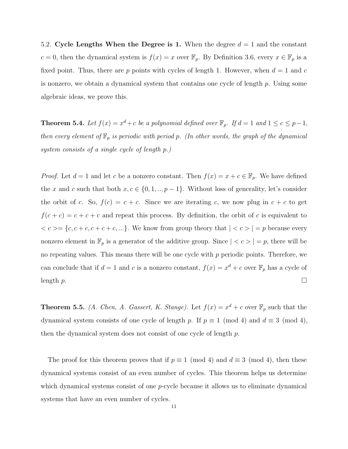5.2. Cycle Lengths When the Degree is 1. When the degree  $d = 1$  and the constant c = 0, then the dynamical system is  $f(x) = x$  over  $\mathbb{F}_p$ . By Definition 3.6, every  $x \in \mathbb{F}_p$  is a fixed point. Thus, there are p points with cycles of length 1. However, when  $d = 1$  and c is nonzero, we obtain a dynamical system that contains one cycle of length  $p$ . Using some algebraic ideas, we prove this.

**Theorem 5.4.** Let  $f(x) = x^d + c$  be a polynomial defined over  $\mathbb{F}_p$ . If  $d = 1$  and  $1 \le c \le p-1$ , then every element of  $\mathbb{F}_p$  is periodic with period p. (In other words, the graph of the dynamical system consists of a single cycle of length p.)

*Proof.* Let  $d = 1$  and let c be a nonzero constant. Then  $f(x) = x + c \in \mathbb{F}_p$ . We have defined the x and c such that both  $x, c \in \{0, 1, ..., p-1\}$ . Without loss of generality, let's consider the orbit of c. So,  $f(c) = c + c$ . Since we are iterating c, we now plug in  $c + c$  to get  $f(c + c) = c + c + c$  and repeat this process. By definition, the orbit of c is equivalent to  $\langle c \rangle = \{c, c + c, c + c + c, \ldots\}$ . We know from group theory that  $|c| < c$   $>$   $|p|$  because every nonzero element in  $\mathbb{F}_p$  is a generator of the additive group. Since  $| < c > | = p$ , there will be no repeating values. This means there will be one cycle with  $p$  periodic points. Therefore, we can conclude that if  $d = 1$  and c is a nonzero constant,  $f(x) = x^d + c$  over  $\mathbb{F}_p$  has a cycle of length  $p$ .

**Theorem 5.5.** (A. Chen, A. Gassert, K. Stange). Let  $f(x) = x^d + c$  over  $\mathbb{F}_p$  such that the dynamical system consists of one cycle of length p. If  $p \equiv 1 \pmod{4}$  and  $d \equiv 3 \pmod{4}$ , then the dynamical system does not consist of one cycle of length p.

The proof for this theorem proves that if  $p \equiv 1 \pmod{4}$  and  $d \equiv 3 \pmod{4}$ , then these dynamical systems consist of an even number of cycles. This theorem helps us determine which dynamical systems consist of one *p*-cycle because it allows us to eliminate dynamical systems that have an even number of cycles.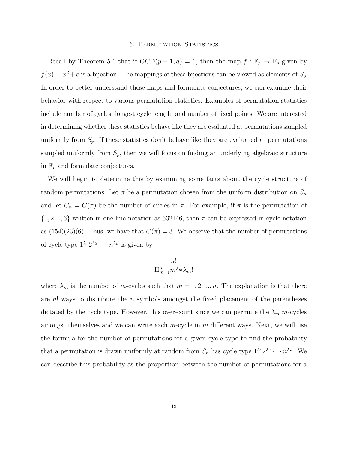#### **6. PERMUTATION STATISTICS**

Recall by Theorem 5.1 that if  $GCD(p-1, d) = 1$ , then the map  $f : \mathbb{F}_p \to \mathbb{F}_p$  given by  $f(x) = x<sup>d</sup> + c$  is a bijection. The mappings of these bijections can be viewed as elements of  $S_p$ . In order to better understand these maps and formulate conjectures, we can examine their behavior with respect to various permutation statistics. Examples of permutation statistics include number of cycles, longest cycle length, and number of fixed points. We are interested in determining whether these statistics behave like they are evaluated at permutations sampled uniformly from  $S_p$ . If these statistics don't behave like they are evaluated at permutations sampled uniformly from  $S_p$ , then we will focus on finding an underlying algebraic structure in  $\mathbb{F}_p$  and formulate conjectures.

We will begin to determine this by examining some facts about the cycle structure of random permutations. Let  $\pi$  be a permutation chosen from the uniform distribution on  $S_n$ and let  $C_n = C(\pi)$  be the number of cycles in  $\pi$ . For example, if  $\pi$  is the permutation of  $\{1, 2, ..., 6\}$  written in one-line notation as 532146, then  $\pi$  can be expressed in cycle notation as  $(154)(23)(6)$ . Thus, we have that  $C(\pi) = 3$ . We observe that the number of permutations of cycle type  $1^{\lambda_1} 2^{\lambda_2} \cdots n^{\lambda_n}$  is given by

$$
\frac{n!}{\Pi_{m=1}^{n}m^{\lambda_{m}}\lambda_{m}!}
$$

where  $\lambda_m$  is the number of m-cycles such that  $m = 1, 2, ..., n$ . The explanation is that there are  $n!$  ways to distribute the n symbols amongst the fixed placement of the parentheses dictated by the cycle type. However, this over-count since we can permute the  $\lambda_m$  m-cycles amongst themselves and we can write each  $m$ -cycle in  $m$  different ways. Next, we will use the formula for the number of permutations for a given cycle type to find the probability that a permutation is drawn uniformly at random from  $S_n$  has cycle type  $1^{\lambda_1}2^{\lambda_2}\cdots n^{\lambda_n}$ . We can describe this probability as the proportion between the number of permutations for a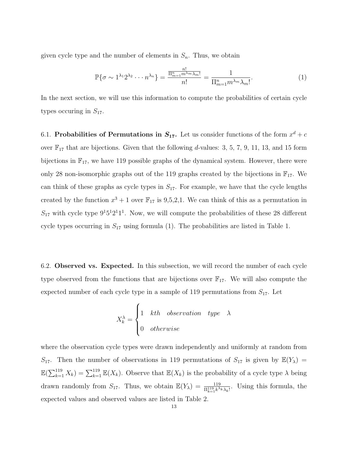given cycle type and the number of elements in  $S_n$ . Thus, we obtain

$$
\mathbb{P}\{\sigma \sim 1^{\lambda_1} 2^{\lambda_2} \cdots n^{\lambda_n}\} = \frac{\frac{n!}{\Pi_{m=1}^n m^{\lambda_m} \lambda_m!}}{n!} = \frac{1}{\Pi_{m=1}^n m^{\lambda_m} \lambda_m!}.
$$
 (1)

In the next section, we will use this information to compute the probabilities of certain cycle types occuring in  $S_{17}$ .

6.1. Probabilities of Permutations in  $S_{17}$ . Let us consider functions of the form  $x^d + c$ over  $\mathbb{F}_{17}$  that are bijections. Given that the following d-values: 3, 5, 7, 9, 11, 13, and 15 form bijections in  $\mathbb{F}_{17}$ , we have 119 possible graphs of the dynamical system. However, there were only 28 non-isomorphic graphs out of the 119 graphs created by the bijections in  $\mathbb{F}_{17}$ . We can think of these graphs as cycle types in  $S_{17}$ . For example, we have that the cycle lengths created by the function  $x^3 + 1$  over  $\mathbb{F}_{17}$  is 9,5,2,1. We can think of this as a permutation in  $S_{17}$  with cycle type  $9<sup>1</sup>5<sup>1</sup>2<sup>1</sup>1<sup>1</sup>$ . Now, we will compute the probabilities of these 28 different cycle types occurring in  $S_{17}$  using formula (1). The probabilities are listed in Table 1.

6.2. Observed vs. Expected. In this subsection, we will record the number of each cycle type observed from the functions that are bijections over  $\mathbb{F}_{17}$ . We will also compute the expected number of each cycle type in a sample of 119 permutations from  $S_{17}$ . Let

$$
X_k^{\lambda} = \begin{cases} 1 & kth\quad observation \quad type \quad \lambda\\ 0 & otherwise \end{cases}
$$

where the observation cycle types were drawn independently and uniformly at random from  $S_{17}$ . Then the number of observations in 119 permutations of  $S_{17}$  is given by  $\mathbb{E}(Y_\lambda) =$  $\mathbb{E}(\sum_{k=1}^{119} X_k) = \sum_{k=1}^{119} \mathbb{E}(X_k)$ . Observe that  $\mathbb{E}(X_k)$  is the probability of a cycle type  $\lambda$  being drawn randomly from  $S_{17}$ . Thus, we obtain  $\mathbb{E}(Y_\lambda) = \frac{119}{\prod_{k=1}^{119} k^{\lambda_k} \lambda_k!}$ . Using this formula, the expected values and observed values are listed in Table 2.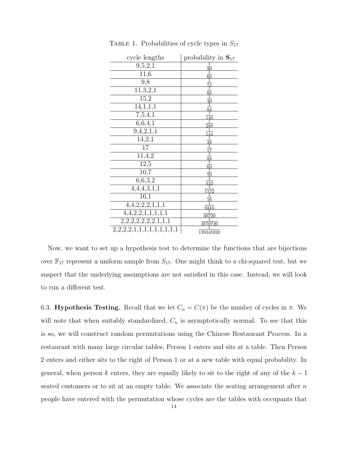| cycle lengths             | probability in $S_{17}$ |
|---------------------------|-------------------------|
| 9,5,2,1                   | $\frac{90}{1}$          |
| 11,6                      | $\frac{66}{1}$          |
| 9,8                       |                         |
| 11, 3, 2, 1               | $\overline{66}$         |
| 15,2                      | $\frac{30}{1}$          |
| 14,1,1,1                  | $\overline{84}$         |
| 7,5,4,1                   | $\overline{140}$        |
| 6,6,4,1                   | $\frac{288}{1}$         |
| 9,4,2,1,1                 | 144                     |
| 14,2,1                    | 28                      |
| 17                        |                         |
| 11,4,2                    | $\frac{88}{1}$          |
| 12,5                      | $\overline{60}$         |
| 10,7                      | $\frac{70}{1}$          |
| 6,6,3,2                   | $\overline{432}$        |
| 4,4,4,3,1,1               | 1152                    |
| 16,1                      | 16                      |
| 4,4,2,2,2,1,1,1           | $\frac{9216}{92}$       |
| 4,4,2,2,1,1,1,1,1         | 30720                   |
| 2,2,2,2,2,2,2,1,1,1       | <u>3870720</u>          |
| 2,2,2,2,1,1,1,1,1,1,1,1,1 | 139345920               |

TABLE 1. Probabilities of cycle types in  $S_{17}$ 

Now, we want to set up a hypothesis test to determine the functions that are bijections over  $\mathbb{F}_{17}$  represent a uniform sample from  $S_{17}$ . One might think to a chi-squared test, but we suspect that the underlying assumptions are not satisfied in this case. Instead, we will look to run a different test.

6.3. **Hypothesis Testing.** Recall that we let  $C_n = C(\pi)$  be the number of cycles in  $\pi$ . We will note that when suitably standardized,  $C_n$  is asymptotically normal. To see that this is so, we will construct random permutations using the Chinese Restaurant Process. In a restaurant with many large circular tables, Person 1 enters and sits at a table. Then Person 2 enters and either sits to the right of Person 1 or at a new table with equal probability. In general, when person k enters, they are equally likely to sit to the right of any of the  $k-1$ seated customers or to sit at an empty table. We associate the seating arrangement after  $n$ people have entered with the permutation whose cycles are the tables with occupants that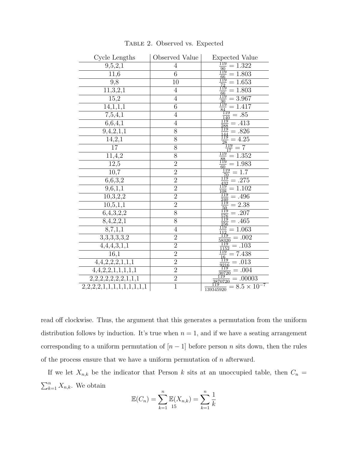| Cycle Lengths                  | Observed Value | <b>Expected Value</b>                                                                                                                                                                                                                                                                                                                                         |
|--------------------------------|----------------|---------------------------------------------------------------------------------------------------------------------------------------------------------------------------------------------------------------------------------------------------------------------------------------------------------------------------------------------------------------|
| 9,5,2,1                        | $\overline{4}$ |                                                                                                                                                                                                                                                                                                                                                               |
| 11,6                           | $\overline{6}$ |                                                                                                                                                                                                                                                                                                                                                               |
| 9,8                            | 10             |                                                                                                                                                                                                                                                                                                                                                               |
| 11, 3, 2, 1                    | $\overline{4}$ |                                                                                                                                                                                                                                                                                                                                                               |
| 15,2                           | $\overline{4}$ |                                                                                                                                                                                                                                                                                                                                                               |
| $\overline{14,1,1,1}$          | $\overline{6}$ | spected Values Values 1.322<br>$\frac{119}{90} = 1.322$<br>$\frac{119}{72} = 1.653$<br>$\frac{119}{12} = 1.653$<br>$\frac{119}{18} = 1.803$<br>$\frac{119}{18} = 3.967$<br>$\frac{119}{18} = 3.967$<br>$\frac{119}{84} = 1.417$<br>$\frac{119}{84} = 1.413$<br>$\frac{119}{288} = 413$<br>$\frac{$                                                            |
| 7,5,4,1                        | $\overline{4}$ |                                                                                                                                                                                                                                                                                                                                                               |
| 6,6,4,1                        | $\overline{4}$ |                                                                                                                                                                                                                                                                                                                                                               |
| $\overline{9,4,2,1},1$         | 8              |                                                                                                                                                                                                                                                                                                                                                               |
| 14,2,1                         | 8              |                                                                                                                                                                                                                                                                                                                                                               |
| $\overline{17}$                | 8              |                                                                                                                                                                                                                                                                                                                                                               |
| 11, 4, 2                       | $\overline{8}$ | $\frac{119}{88}$<br>$= 1.352$                                                                                                                                                                                                                                                                                                                                 |
| 12,5                           | $\overline{2}$ | $= 1.983$<br>$\begin{array}{rcl}\n\frac{f_{19}^{49}}{60} & = & 1.983 \\ \frac{f_{119}}{70} & = & 1.7 \\ \frac{f_{119}}{70} & = & 1.7 \\ \frac{f_{119}}{108} & = & 1.10 \\ \frac{f_{119}}{108} & = & 1.96 \\ \frac{f_{119}}{108} & = & 1.207 \\ \frac{f_{119}}{108} & = & 1.207 \\ \frac{f_{119}}{108} & = & 1.06 \\ \frac{f_{119}}{119} & = & 1.06 \\ \frac{$ |
| 10,7                           | $\overline{2}$ |                                                                                                                                                                                                                                                                                                                                                               |
| 6,6,3,2                        | $\overline{2}$ | $= .275$                                                                                                                                                                                                                                                                                                                                                      |
| $\overline{9,6,1,1}$           | $\overline{2}$ | $= 1.102$                                                                                                                                                                                                                                                                                                                                                     |
| 10,3,2,2                       | $\overline{2}$ | $= .496$                                                                                                                                                                                                                                                                                                                                                      |
| $\overline{10,5,1,1}$          | $\overline{2}$ | $= 2.38$                                                                                                                                                                                                                                                                                                                                                      |
| 6,4,3,2,2                      | $\overline{8}$ | $\overline{=.207}$                                                                                                                                                                                                                                                                                                                                            |
| 8,4,2,2,1                      | 8              | $= .465$                                                                                                                                                                                                                                                                                                                                                      |
| 8,7,1,1                        | $\overline{4}$ | $=1.063$                                                                                                                                                                                                                                                                                                                                                      |
| 3,3,3,3,3,2                    | $\overline{2}$ | $\equiv .002$                                                                                                                                                                                                                                                                                                                                                 |
| 4,4,4,3,1,1                    | $\overline{2}$ | $= .103$                                                                                                                                                                                                                                                                                                                                                      |
| 16,1                           | $\overline{2}$ | $\frac{1152}{1152}$<br>$\frac{1152}{16}$<br>$= 7.438$                                                                                                                                                                                                                                                                                                         |
| 4,4,2,2,2,1,1,1                | $\overline{2}$ | $= .013$                                                                                                                                                                                                                                                                                                                                                      |
| $\overline{4,4,2,2,1,1,1,1,1}$ | $\overline{2}$ | $= .004$                                                                                                                                                                                                                                                                                                                                                      |
| 2,2,2,2,2,2,2,1,1,1            | $\overline{2}$ | $= .00003$<br>3870720                                                                                                                                                                                                                                                                                                                                         |
| 2,2,2,2,1,1,1,1,1,1,1,1,1      | $\overline{1}$ | $= 8.5 \times 10^{-7}$<br>139345920                                                                                                                                                                                                                                                                                                                           |

Table 2. Observed vs. Expected

read off clockwise. Thus, the argument that this generates a permutation from the uniform distribution follows by induction. It's true when  $n = 1$ , and if we have a seating arrangement corresponding to a uniform permutation of  $[n-1]$  before person n sits down, then the rules of the process ensure that we have a uniform permutation of  $n$  afterward.

If we let  $X_{n,k}$  be the indicator that Person k sits at an unoccupied table, then  $C_n =$  $\sum_{k=1}^{n} X_{n,k}$ . We obtain

$$
\mathbb{E}(C_n) = \sum_{k=1}^n \mathbb{E}(X_{n,k}) = \sum_{k=1}^n \frac{1}{k}
$$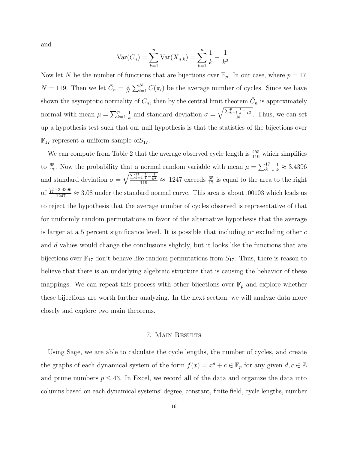and

$$
Var(C_n) = \sum_{k=1}^{n} Var(X_{n,k}) = \sum_{k=1}^{n} \frac{1}{k} - \frac{1}{k^2}.
$$

Now let N be the number of functions that are bijections over  $\mathbb{F}_p$ . In our case, where  $p = 17$ ,  $N = 119$ . Then we let  $\bar{C}_n = \frac{1}{N}$  $\frac{1}{N} \sum_{i=1}^{N} C(\pi_i)$  be the average number of cycles. Since we have shown the asymptotic normality of  $C_n$ , then by the central limit theorem  $\bar{C}_n$  is approximately normal with mean  $\mu = \sum_{k=1}^{p}$ 1  $\frac{1}{k}$  and standard deviation  $\sigma = \sqrt{\frac{\sum_{k=1}^{p} \frac{1}{k} - \frac{1}{k^2}}{N}}$ . Thus, we can set up a hypothesis test such that our null hypothesis is that the statistics of the bijections over  $\mathbb{F}_{17}$  represent a uniform sample of  $S_{17}$ .

We can compute from Table 2 that the average observed cycle length is  $\frac{455}{119}$  which simplifies to  $\frac{65}{17}$ . Now the probability that a normal random variable with mean  $\mu = \sum_{k=1}^{17}$  $\frac{1}{k} \approx 3.4396$ and standard deviation  $\sigma = \sqrt{\frac{\sum_{k=1}^{17} \frac{1}{k} - \frac{1}{k^2}}{119}} \approx .1247$  exceeds  $\frac{65}{17}$  is equal to the area to the right of  $\frac{\frac{65}{17}-3.4396}{.1247} \approx 3.08$  under the standard normal curve. This area is about .00103 which leads us to reject the hypothesis that the average number of cycles observed is representative of that for uniformly random permutations in favor of the alternative hypothesis that the average is larger at a 5 percent significance level. It is possible that including or excluding other  $c$ and d values would change the conclusions slightly, but it looks like the functions that are bijections over  $\mathbb{F}_{17}$  don't behave like random permutations from  $S_{17}$ . Thus, there is reason to believe that there is an underlying algebraic structure that is causing the behavior of these mappings. We can repeat this process with other bijections over  $\mathbb{F}_p$  and explore whether these bijections are worth further analyzing. In the next section, we will analyze data more closely and explore two main theorems.

#### 7. Main Results

Using Sage, we are able to calculate the cycle lengths, the number of cycles, and create the graphs of each dynamical system of the form  $f(x) = x^d + c \in \mathbb{F}_p$  for any given  $d, c \in \mathbb{Z}$ and prime numbers  $p \leq 43$ . In Excel, we record all of the data and organize the data into columns based on each dynamical systems' degree, constant, finite field, cycle lengths, number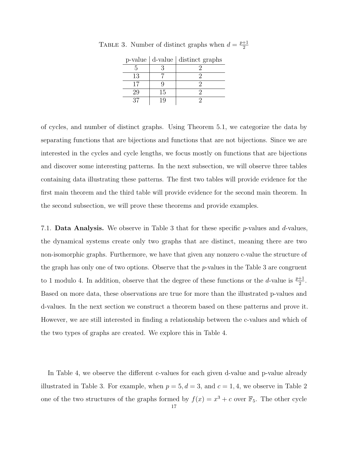|    |    | p-value d-value distinct graphs |
|----|----|---------------------------------|
|    |    |                                 |
| 13 |    |                                 |
|    |    |                                 |
| 29 | 15 |                                 |
|    |    |                                 |

TABLE 3. Number of distinct graphs when  $d = \frac{p+1}{2}$ 2

of cycles, and number of distinct graphs. Using Theorem 5.1, we categorize the data by separating functions that are bijections and functions that are not bijections. Since we are interested in the cycles and cycle lengths, we focus mostly on functions that are bijections and discover some interesting patterns. In the next subsection, we will observe three tables containing data illustrating these patterns. The first two tables will provide evidence for the first main theorem and the third table will provide evidence for the second main theorem. In the second subsection, we will prove these theorems and provide examples.

7.1. **Data Analysis.** We observe in Table 3 that for these specific p-values and  $d$ -values, the dynamical systems create only two graphs that are distinct, meaning there are two non-isomorphic graphs. Furthermore, we have that given any nonzero c-value the structure of the graph has only one of two options. Observe that the  $p$ -values in the Table 3 are congruent to 1 modulo 4. In addition, observe that the degree of these functions or the d-value is  $\frac{p+1}{2}$ . Based on more data, these observations are true for more than the illustrated p-values and d-values. In the next section we construct a theorem based on these patterns and prove it. However, we are still interested in finding a relationship between the c-values and which of the two types of graphs are created. We explore this in Table 4.

In Table 4, we observe the different c-values for each given d-value and p-value already illustrated in Table 3. For example, when  $p = 5, d = 3$ , and  $c = 1, 4$ , we observe in Table 2 one of the two structures of the graphs formed by  $f(x) = x^3 + c$  over  $\mathbb{F}_5$ . The other cycle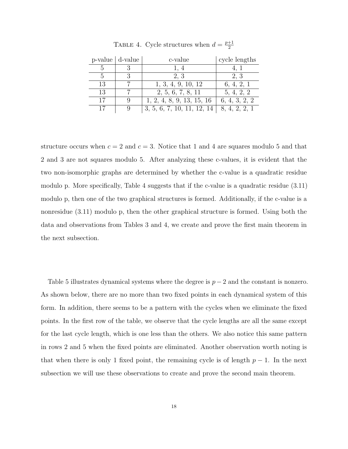|    | $p$ -value $\vert$ d-value | c-value                    | cycle lengths |
|----|----------------------------|----------------------------|---------------|
|    |                            | 1, 4                       |               |
| 5  |                            | 2, 3                       | 2, 3          |
| 13 |                            | 1, 3, 4, 9, 10, 12         | 6, 4, 2, 1    |
| 13 |                            | 2, 5, 6, 7, 8, 11          | 5, 4, 2, 2    |
| 17 |                            | 1, 2, 4, 8, 9, 13, 15, 16  | 6, 4, 3, 2, 2 |
| 17 |                            | 3, 5, 6, 7, 10, 11, 12, 14 | 8, 4, 2, 2, 1 |

TABLE 4. Cycle structures when  $d = \frac{p+1}{2}$ 2

structure occurs when  $c = 2$  and  $c = 3$ . Notice that 1 and 4 are squares modulo 5 and that 2 and 3 are not squares modulo 5. After analyzing these c-values, it is evident that the two non-isomorphic graphs are determined by whether the c-value is a quadratic residue modulo p. More specifically, Table 4 suggests that if the c-value is a quadratic residue (3.11) modulo p, then one of the two graphical structures is formed. Additionally, if the c-value is a nonresidue (3.11) modulo p, then the other graphical structure is formed. Using both the data and observations from Tables 3 and 4, we create and prove the first main theorem in the next subsection.

Table 5 illustrates dynamical systems where the degree is  $p-2$  and the constant is nonzero. As shown below, there are no more than two fixed points in each dynamical system of this form. In addition, there seems to be a pattern with the cycles when we eliminate the fixed points. In the first row of the table, we observe that the cycle lengths are all the same except for the last cycle length, which is one less than the others. We also notice this same pattern in rows 2 and 5 when the fixed points are eliminated. Another observation worth noting is that when there is only 1 fixed point, the remaining cycle is of length  $p-1$ . In the next subsection we will use these observations to create and prove the second main theorem.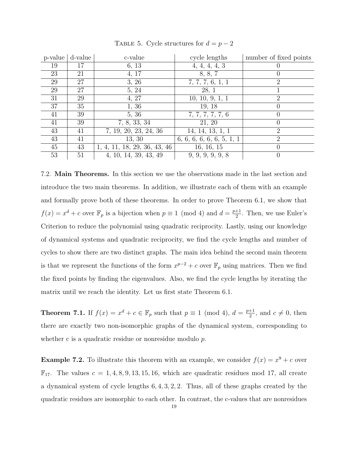| p-value | d-value | c-value                      | cycle lengths             | number of fixed points      |
|---------|---------|------------------------------|---------------------------|-----------------------------|
| 19      | 17      | 6, 13                        | 4, 4, 4, 4, 3             |                             |
| 23      | 21      | 4, 17                        | 8, 8, 7                   |                             |
| 29      | 27      | 3, 26                        | 7, 7, 7, 6, 1, 1          | $\mathcal{D}_{\mathcal{L}}$ |
| 29      | 27      | 5, 24                        | 28, 1                     |                             |
| 31      | 29      | 4, 27                        | 10, 10, 9, 1, 1           | 2                           |
| 37      | 35      | 1, 36                        | 19, 18                    |                             |
| 41      | 39      | 5, 36                        | 7, 7, 7, 7, 7, 6          |                             |
| 41      | 39      | 7, 8, 33, 34                 | 21, 20                    |                             |
| 43      | 41      | 7, 19, 20, 23, 24, 36        | 14, 14, 13, 1, 1          | $\overline{2}$              |
| 43      | 41      | 13, 30                       | 6, 6, 6, 6, 6, 6, 5, 1, 1 | $\mathcal{D}_{\mathcal{L}}$ |
| 45      | 43      | 1, 4, 11, 18, 29, 36, 43, 46 | 16, 16, 15                |                             |
| 53      | 51      | 4, 10, 14, 39, 43, 49        | 9, 9, 9, 9, 9, 8          |                             |

TABLE 5. Cycle structures for  $d = p - 2$ 

7.2. Main Theorems. In this section we use the observations made in the last section and introduce the two main theorems. In addition, we illustrate each of them with an example and formally prove both of these theorems. In order to prove Theorem 6.1, we show that  $f(x) = x<sup>d</sup> + c$  over  $\mathbb{F}_p$  is a bijection when  $p \equiv 1 \pmod{4}$  and  $d = \frac{p+1}{2}$  $\frac{+1}{2}$ . Then, we use Euler's Criterion to reduce the polynomial using quadratic reciprocity. Lastly, using our knowledge of dynamical systems and quadratic reciprocity, we find the cycle lengths and number of cycles to show there are two distinct graphs. The main idea behind the second main theorem is that we represent the functions of the form  $x^{p-2} + c$  over  $\mathbb{F}_p$  using matrices. Then we find the fixed points by finding the eigenvalues. Also, we find the cycle lengths by iterating the matrix until we reach the identity. Let us first state Theorem 6.1.

**Theorem 7.1.** If  $f(x) = x^d + c \in \mathbb{F}_p$  such that  $p \equiv 1 \pmod{4}$ ,  $d = \frac{p+1}{2}$  $\frac{+1}{2}$ , and  $c \neq 0$ , then there are exactly two non-isomorphic graphs of the dynamical system, corresponding to whether c is a quadratic residue or nonresidue modulo p.

**Example 7.2.** To illustrate this theorem with an example, we consider  $f(x) = x^9 + c$  over  $\mathbb{F}_{17}$ . The values  $c = 1, 4, 8, 9, 13, 15, 16$ , which are quadratic residues mod 17, all create a dynamical system of cycle lengths 6, 4, 3, 2, 2. Thus, all of these graphs created by the quadratic residues are isomorphic to each other. In contrast, the c-values that are nonresidues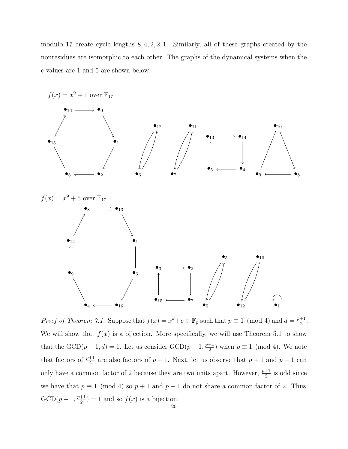modulo 17 create cycle lengths 8, 4, 2, 2, 1. Similarly, all of these graphs created by the nonresidues are isomorphic to each other. The graphs of the dynamical systems when the c-values are 1 and 5 are shown below.



*Proof of Theorem 7.1.* Suppose that  $f(x) = x^d + c \in \mathbb{F}_p$  such that  $p \equiv 1 \pmod{4}$  and  $d = \frac{p+1}{2}$  $rac{+1}{2}$ . We will show that  $f(x)$  is a bijection. More specifically, we will use Theorem 5.1 to show that the  $GCD(p-1, d) = 1$ . Let us consider  $GCD(p-1, \frac{p+1}{2})$  $\frac{+1}{2}$ ) when  $p \equiv 1 \pmod{4}$ . We note that factors of  $\frac{p+1}{2}$  are also factors of  $p+1$ . Next, let us observe that  $p+1$  and  $p-1$  can only have a common factor of 2 because they are two units apart. However,  $\frac{p+1}{2}$  is odd since we have that  $p \equiv 1 \pmod{4}$  so  $p + 1$  and  $p - 1$  do not share a common factor of 2. Thus,  $GCD(p-1, \frac{p+1}{2})$  $\frac{+1}{2}$ ) = 1 and so  $f(x)$  is a bijection.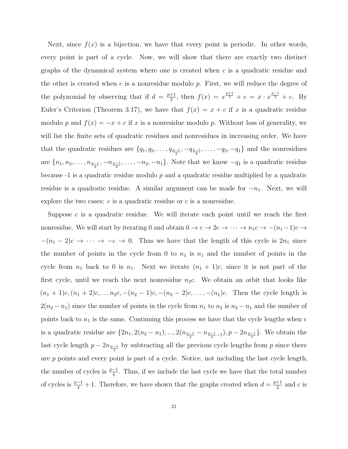Next, since  $f(x)$  is a bijection, we have that every point is periodic. In other words, every point is part of a cycle. Now, we will show that there are exactly two distinct graphs of the dynamical system where one is created when  $c$  is a quadratic residue and the other is created when  $c$  is a nonresidue modulo  $p$ . First, we will reduce the degree of the polynomial by observing that if  $d = \frac{p+1}{2}$  $\frac{1}{2}$ , then  $f(x) = x^{\frac{p+1}{2}} + c = x \cdot x^{\frac{p-1}{2}} + c$ . By Euler's Criterion (Theorem 3.17), we have that  $f(x) = x + c$  if x is a quadratic residue modulo p and  $f(x) = -x + c$  if x is a nonresidue modulo p. Without loss of generality, we will list the finite sets of quadratic residues and nonresidues in increasing order. We have that the quadratic residues are  $\{q_1, q_2, \ldots, q_{p-1}, -q_{p-1}, \ldots, -q_2, -q_1\}$  and the nonresidues are  $\{n_1, n_2, \ldots, n_{\frac{p-1}{4}}, -n_{\frac{p-1}{4}}, \ldots, -n_2, -n_1\}$ . Note that we know  $-q_1$  is a quadratic residue because  $-1$  is a quadratic residue modulo p and a quadratic residue multiplied by a quadratic residue is a quadratic residue. A similar argument can be made for  $-n_1$ . Next, we will explore the two cases:  $c$  is a quadratic residue or  $c$  is a nonresidue.

Suppose  $c$  is a quadratic residue. We will iterate each point until we reach the first nonresidue. We will start by iterating 0 and obtain  $0 \to c \to 2c \to \cdots \to n_1c \to -(n_1-1)c \to$  $-(n_1 - 2)c \rightarrow \cdots \rightarrow -c \rightarrow 0$ . Thus we have that the length of this cycle is  $2n_1$  since the number of points in the cycle from 0 to  $n_1$  is  $n_1$  and the number of points in the cycle from  $n_1$  back to 0 is  $n_1$ . Next we iterate  $(n_1 + 1)c$ , since it is not part of the first cycle, until we reach the next nonresidue  $n_2c$ . We obtain an orbit that looks like  $(n_1 + 1)c, (n_1 + 2)c, \ldots n_2c, -(n_2 - 1)c, -(n_2 - 2)c, \ldots, -(n_1)c$ . Then the cycle length is  $2(n_2 - n_1)$  since the number of points in the cycle from  $n_1$  to  $n_2$  is  $n_2 - n_1$  and the number of points back to  $n_1$  is the same. Continuing this process we have that the cycle lengths when c is a quadratic residue are  $\{2n_1, 2(n_2 - n_1), ..., 2(n_{\frac{p-1}{4}} - n_{\frac{p-1}{4}-1}), p - 2n_{\frac{p-1}{4}}\}$ . We obtain the last cycle length  $p - 2n_{\frac{p-1}{4}}$  by subtracting all the previous cycle lengths from p since there are  $p$  points and every point is part of a cycle. Notice, not including the last cycle length, the number of cycles is  $\frac{p-1}{4}$ . Thus, if we include the last cycle we have that the total number of cycles is  $\frac{p-1}{4} + 1$ . Therefore, we have shown that the graphs created when  $d = \frac{p+1}{2}$  $rac{+1}{2}$  and c is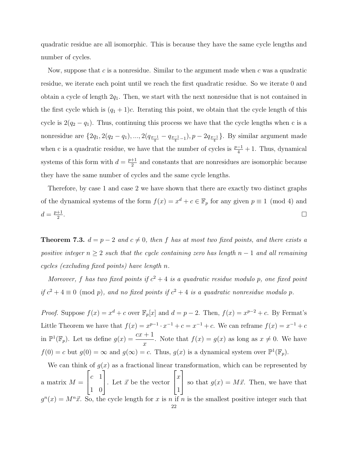quadratic residue are all isomorphic. This is because they have the same cycle lengths and number of cycles.

Now, suppose that  $c$  is a nonresidue. Similar to the argument made when  $c$  was a quadratic residue, we iterate each point until we reach the first quadratic residue. So we iterate 0 and obtain a cycle of length  $2q_1$ . Then, we start with the next nonresidue that is not contained in the first cycle which is  $(q_1 + 1)c$ . Iterating this point, we obtain that the cycle length of this cycle is  $2(q_2 - q_1)$ . Thus, continuing this process we have that the cycle lengths when c is a nonresidue are  $\{2q_1, 2(q_2 - q_1), ..., 2(q_{\frac{p-1}{4}} - q_{\frac{p-1}{4}-1}), p - 2q_{\frac{p-1}{4}}\}$ . By similar argument made when c is a quadratic residue, we have that the number of cycles is  $\frac{p-1}{4} + 1$ . Thus, dynamical systems of this form with  $d = \frac{p+1}{2}$  $\frac{+1}{2}$  and constants that are nonresidues are isomorphic because they have the same number of cycles and the same cycle lengths.

Therefore, by case 1 and case 2 we have shown that there are exactly two distinct graphs of the dynamical systems of the form  $f(x) = x^d + c \in \mathbb{F}_p$  for any given  $p \equiv 1 \pmod{4}$  and  $d = \frac{p+1}{2}$ 2 . В последните последните под се при последните последните и се при последните последните под се при последнит<br>В 1990 година од селото на селото на селото на селото на селото на селото на селото на селото на селото на сел

**Theorem 7.3.**  $d = p - 2$  and  $c \neq 0$ , then f has at most two fixed points, and there exists a positive integer  $n \geq 2$  such that the cycle containing zero has length  $n-1$  and all remaining cycles (excluding fixed points) have length n.

Moreover, f has two fixed points if  $c^2 + 4$  is a quadratic residue modulo p, one fixed point if  $c^2 + 4 \equiv 0 \pmod{p}$ , and no fixed points if  $c^2 + 4$  is a quadratic nonresidue modulo p.

*Proof.* Suppose  $f(x) = x^d + c$  over  $\mathbb{F}_p[x]$  and  $d = p - 2$ . Then,  $f(x) = x^{p-2} + c$ . By Fermat's Little Theorem we have that  $f(x) = x^{p-1} \cdot x^{-1} + c = x^{-1} + c$ . We can reframe  $f(x) = x^{-1} + c$ in  $\mathbb{P}^1(\mathbb{F}_p)$ . Let us define  $g(x) = \frac{cx+1}{x}$ . Note that  $f(x) = g(x)$  as long as  $x \neq 0$ . We have  $f(0) = c$  but  $g(0) = \infty$  and  $g(\infty) = c$ . Thus,  $g(x)$  is a dynamical system over  $\mathbb{P}^1(\mathbb{F}_p)$ .

We can think of  $g(x)$  as a fractional linear transformation, which can be represented by a matrix  $M =$  $\sqrt{ }$  $\overline{\phantom{a}}$  $c<sub>-1</sub>$ 1 0 1 . Let  $\vec{x}$  be the vector  $\sqrt{ }$  $\overline{1}$  $\overline{x}$ 1 1 so that  $g(x) = M\vec{x}$ . Then, we have that  $g^{n}(x) = M^{n}\vec{x}$ . So, the cycle length for x is n if n is the smallest positive integer such that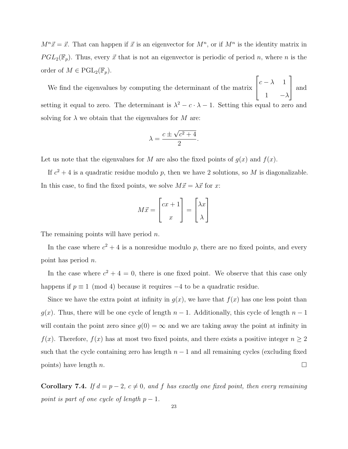$M^{n} \vec{x} = \vec{x}$ . That can happen if  $\vec{x}$  is an eigenvector for  $M^{n}$ , or if  $M^{n}$  is the identity matrix in  $PGL_2(\mathbb{F}_p)$ . Thus, every  $\vec{x}$  that is not an eigenvector is periodic of period n, where n is the order of  $M \in \mathrm{PGL}_2(\mathbb{F}_p)$ .

We find the eigenvalues by computing the determinant of the matrix  $\sqrt{ }$  $\overline{1}$  $c - \lambda$  1 1  $-\lambda$ 1 and setting it equal to zero. The determinant is  $\lambda^2 - c \cdot \lambda - 1$ . Setting this equal to zero and solving for  $\lambda$  we obtain that the eigenvalues for M are:

$$
\lambda = \frac{c \pm \sqrt{c^2 + 4}}{2}.
$$

Let us note that the eigenvalues for M are also the fixed points of  $g(x)$  and  $f(x)$ .

If  $c^2 + 4$  is a quadratic residue modulo p, then we have 2 solutions, so M is diagonalizable. In this case, to find the fixed points, we solve  $M\vec{x} = \lambda \vec{x}$  for x:

$$
M\vec{x} = \begin{bmatrix} cx+1 \\ x \end{bmatrix} = \begin{bmatrix} \lambda x \\ \lambda \end{bmatrix}
$$

The remaining points will have period  $n$ .

In the case where  $c^2 + 4$  is a nonresidue modulo p, there are no fixed points, and every point has period n.

In the case where  $c^2 + 4 = 0$ , there is one fixed point. We observe that this case only happens if  $p \equiv 1 \pmod{4}$  because it requires  $-4$  to be a quadratic residue.

Since we have the extra point at infinity in  $g(x)$ , we have that  $f(x)$  has one less point than  $g(x)$ . Thus, there will be one cycle of length  $n-1$ . Additionally, this cycle of length  $n-1$ will contain the point zero since  $g(0) = \infty$  and we are taking away the point at infinity in  $f(x)$ . Therefore,  $f(x)$  has at most two fixed points, and there exists a positive integer  $n \geq 2$ such that the cycle containing zero has length  $n-1$  and all remaining cycles (excluding fixed points) have length n.

Corollary 7.4. If  $d = p - 2$ ,  $c \neq 0$ , and f has exactly one fixed point, then every remaining point is part of one cycle of length  $p-1$ .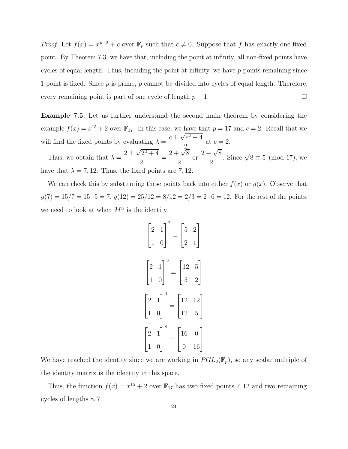*Proof.* Let  $f(x) = x^{p-2} + c$  over  $\mathbb{F}_p$  such that  $c \neq 0$ . Suppose that f has exactly one fixed point. By Theorem 7.3, we have that, including the point at infinity, all non-fixed points have cycles of equal length. Thus, including the point at infinity, we have  $p$  points remaining since 1 point is fixed. Since  $p$  is prime,  $p$  cannot be divided into cycles of equal length. Therefore, every remaining point is part of one cycle of length  $p-1$ .

Example 7.5. Let us further understand the second main theorem by considering the example  $f(x) = x^{15} + 2$  over  $\mathbb{F}_{17}$ . In this case, we have that  $p = 17$  and  $c = 2$ . Recall that we will find the fixed points by evaluating  $\lambda =$  $c \pm \sqrt{c^2 + 4}$ 2 at  $c = 2$ . √ √

Thus, we obtain that  $\lambda =$  $2\pm$  $2^2 + 4$ 2 =  $2 + \sqrt{8}$ 2 or  $2 -$ 8 2 . Since  $\sqrt{8} \equiv 5 \pmod{17}$ , we have that  $\lambda = 7, 12$ . Thus, the fixed points are 7, 12.

We can check this by substituting these points back into either  $f(x)$  or  $g(x)$ . Observe that  $g(7) = 15/7 = 15 \cdot 5 = 7$ ,  $g(12) = 25/12 = 8/12 = 2/3 = 2 \cdot 6 = 12$ . For the rest of the points, we need to look at when  $M^n$  is the identity:

$$
\begin{bmatrix} 2 & 1 \ 1 & 0 \end{bmatrix}^2 = \begin{bmatrix} 5 & 2 \ 2 & 1 \end{bmatrix}
$$

$$
\begin{bmatrix} 2 & 1 \ 1 & 0 \end{bmatrix}^3 = \begin{bmatrix} 12 & 5 \ 5 & 2 \end{bmatrix}
$$

$$
\begin{bmatrix} 2 & 1 \ 1 & 0 \end{bmatrix}^4 = \begin{bmatrix} 12 & 12 \ 12 & 5 \end{bmatrix}
$$

$$
\begin{bmatrix} 2 & 1 \ 1 & 0 \end{bmatrix}^8 = \begin{bmatrix} 16 & 0 \ 0 & 16 \end{bmatrix}
$$

We have reached the identity since we are working in  $PGL_2(\mathbb{F}_p)$ , so any scalar multiple of the identity matrix is the identity in this space.

Thus, the function  $f(x) = x^{15} + 2$  over  $\mathbb{F}_{17}$  has two fixed points 7, 12 and two remaining cycles of lengths 8, 7.